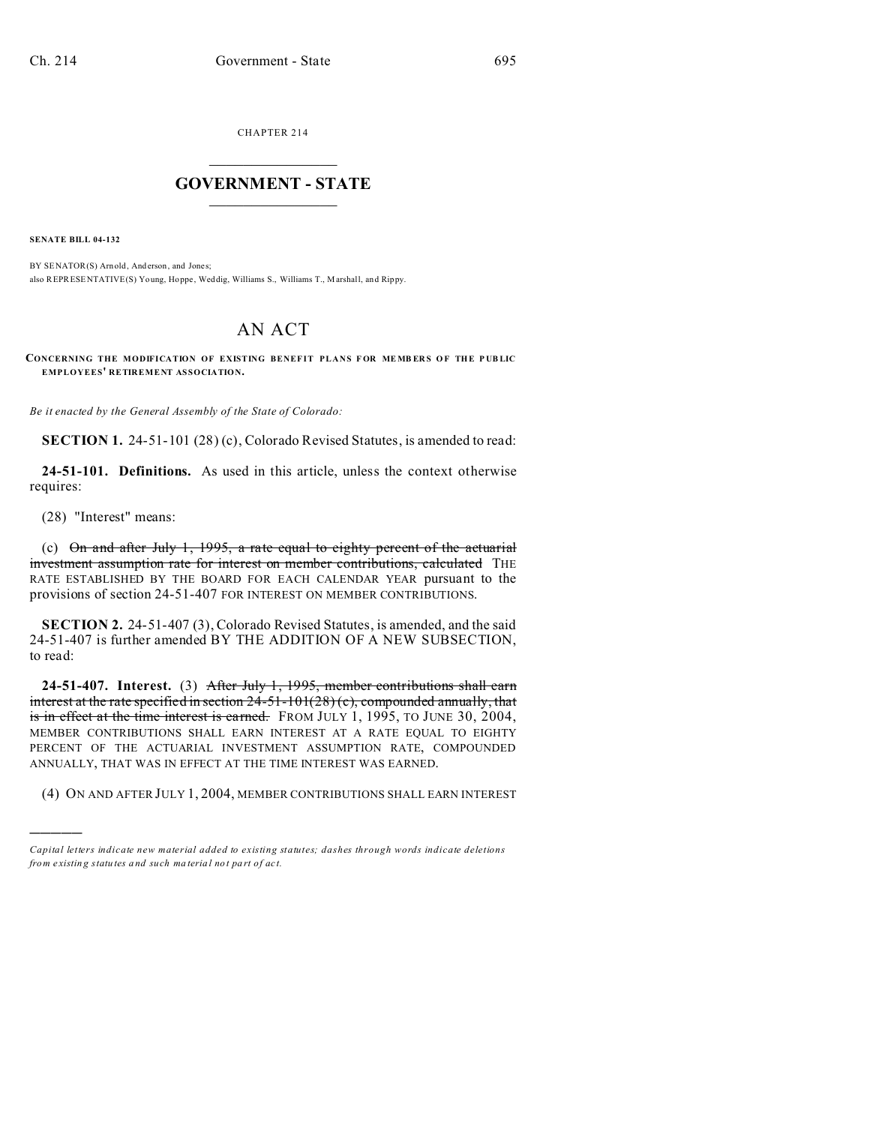CHAPTER 214  $\overline{\phantom{a}}$  , where  $\overline{\phantom{a}}$ 

## **GOVERNMENT - STATE**  $\_$   $\_$   $\_$   $\_$   $\_$   $\_$   $\_$   $\_$   $\_$

**SENATE BILL 04-132**

BY SENATOR(S) Arnold, And erson, and Jones; also REPRESENTATIVE(S) Young, Hoppe, Weddig, Williams S., Williams T., Marshall, and Rippy.

# AN ACT

**CONCERNING THE MODIFICATION OF EXISTING BENEFIT PLANS F OR ME MB ER S O F THE P UB LIC EMPLOYEES' RETIREMENT ASSOCIATION.**

*Be it enacted by the General Assembly of the State of Colorado:*

**SECTION 1.** 24-51-101 (28) (c), Colorado Revised Statutes, is amended to read:

**24-51-101. Definitions.** As used in this article, unless the context otherwise requires:

(28) "Interest" means:

)))))

(c) On and after July 1, 1995, a rate equal to eighty percent of the actuarial investment assumption rate for interest on member contributions, calculated THE RATE ESTABLISHED BY THE BOARD FOR EACH CALENDAR YEAR pursuant to the provisions of section 24-51-407 FOR INTEREST ON MEMBER CONTRIBUTIONS.

**SECTION 2.** 24-51-407 (3), Colorado Revised Statutes, is amended, and the said 24-51-407 is further amended BY THE ADDITION OF A NEW SUBSECTION, to read:

**24-51-407. Interest.** (3) After July 1, 1995, member contributions shall earn interest at the rate specified in section  $24-51-101(28)$  (c), compounded annually, that is in effect at the time interest is earned. FROM JULY 1, 1995, TO JUNE 30, 2004, MEMBER CONTRIBUTIONS SHALL EARN INTEREST AT A RATE EQUAL TO EIGHTY PERCENT OF THE ACTUARIAL INVESTMENT ASSUMPTION RATE, COMPOUNDED ANNUALLY, THAT WAS IN EFFECT AT THE TIME INTEREST WAS EARNED.

(4) ON AND AFTER JULY 1, 2004, MEMBER CONTRIBUTIONS SHALL EARN INTEREST

*Capital letters indicate new material added to existing statutes; dashes through words indicate deletions from e xistin g statu tes a nd such ma teria l no t pa rt of ac t.*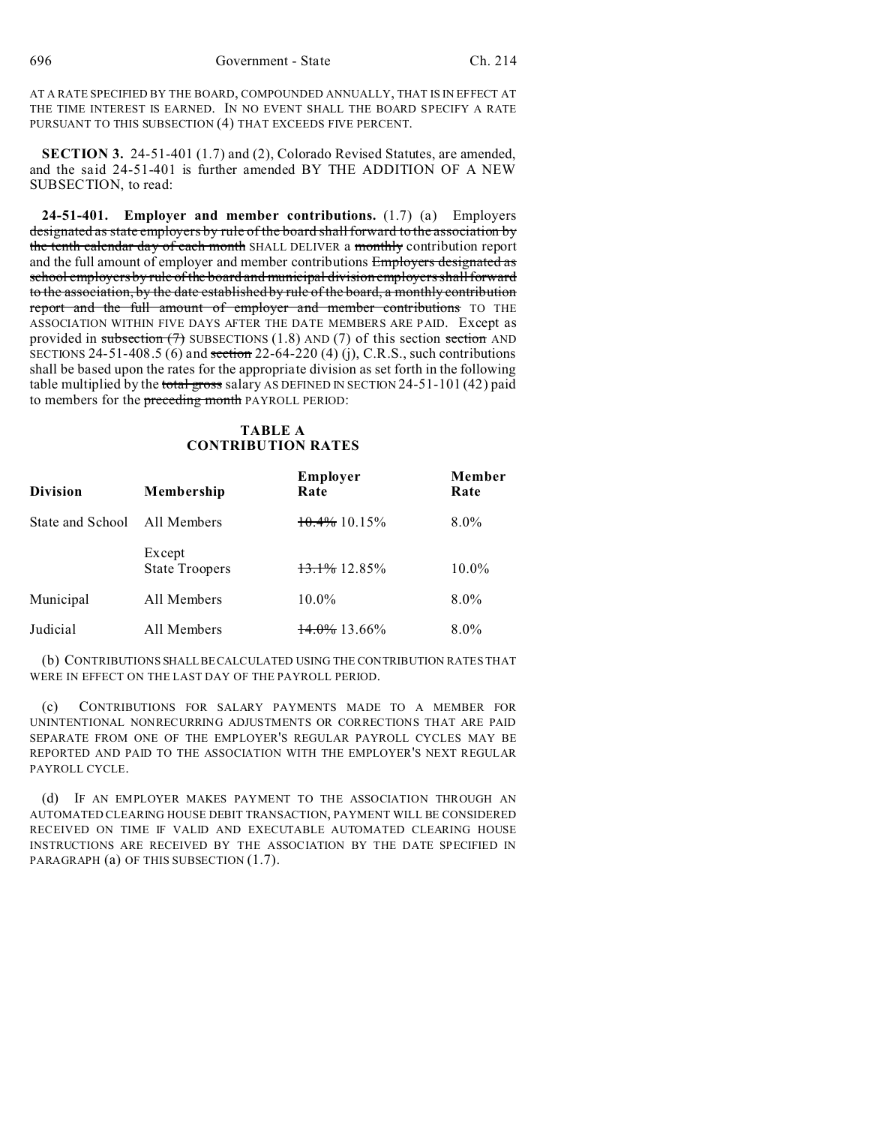AT A RATE SPECIFIED BY THE BOARD, COMPOUNDED ANNUALLY, THAT IS IN EFFECT AT THE TIME INTEREST IS EARNED. IN NO EVENT SHALL THE BOARD SPECIFY A RATE PURSUANT TO THIS SUBSECTION (4) THAT EXCEEDS FIVE PERCENT.

**SECTION 3.** 24-51-401 (1.7) and (2), Colorado Revised Statutes, are amended, and the said 24-51-401 is further amended BY THE ADDITION OF A NEW SUBSECTION, to read:

**24-51-401. Employer and member contributions.** (1.7) (a) Employers designated as state employers by rule of the board shall forward to the association by the tenth calendar day of each month SHALL DELIVER a monthly contribution report and the full amount of employer and member contributions Employers designated as school employers by rule of the board and municipal division employers shall forward to the association, by the date established by rule of the board, a monthly contribution report and the full amount of employer and member contributions TO THE ASSOCIATION WITHIN FIVE DAYS AFTER THE DATE MEMBERS ARE PAID. Except as provided in subsection  $(7)$  SUBSECTIONS (1.8) AND (7) of this section section AND SECTIONS 24-51-408.5 (6) and section 22-64-220 (4) (j), C.R.S., such contributions shall be based upon the rates for the appropriate division as set forth in the following table multiplied by the total gross salary AS DEFINED IN SECTION  $24-51-101(42)$  paid to members for the preceding month PAYROLL PERIOD:

## **TABLE A CONTRIBUTION RATES**

| <b>Division</b>  | Membership                      | <b>Employer</b><br>Rate  | Member<br>Rate<br>$8.0\%$ |  |
|------------------|---------------------------------|--------------------------|---------------------------|--|
| State and School | All Members                     | $10.4\%$ 10.15%          |                           |  |
|                  | Except<br><b>State Troopers</b> | $13.1\%$ 12.85%          | $10.0\%$                  |  |
| Municipal        | All Members                     | $10.0\%$                 | $8.0\%$                   |  |
| Judicial         | All Members                     | $\frac{14.0\%}{13.66\%}$ | $8.0\%$                   |  |

(b) CONTRIBUTIONS SHALLBE CALCULATED USING THE CONTRIBUTION RATES THAT WERE IN EFFECT ON THE LAST DAY OF THE PAYROLL PERIOD.

(c) CONTRIBUTIONS FOR SALARY PAYMENTS MADE TO A MEMBER FOR UNINTENTIONAL NONRECURRING ADJUSTMENTS OR CORRECTIONS THAT ARE PAID SEPARATE FROM ONE OF THE EMPLOYER'S REGULAR PAYROLL CYCLES MAY BE REPORTED AND PAID TO THE ASSOCIATION WITH THE EMPLOYER'S NEXT REGULAR PAYROLL CYCLE.

(d) IF AN EMPLOYER MAKES PAYMENT TO THE ASSOCIATION THROUGH AN AUTOMATED CLEARING HOUSE DEBIT TRANSACTION, PAYMENT WILL BE CONSIDERED RECEIVED ON TIME IF VALID AND EXECUTABLE AUTOMATED CLEARING HOUSE INSTRUCTIONS ARE RECEIVED BY THE ASSOCIATION BY THE DATE SPECIFIED IN PARAGRAPH (a) OF THIS SUBSECTION (1.7).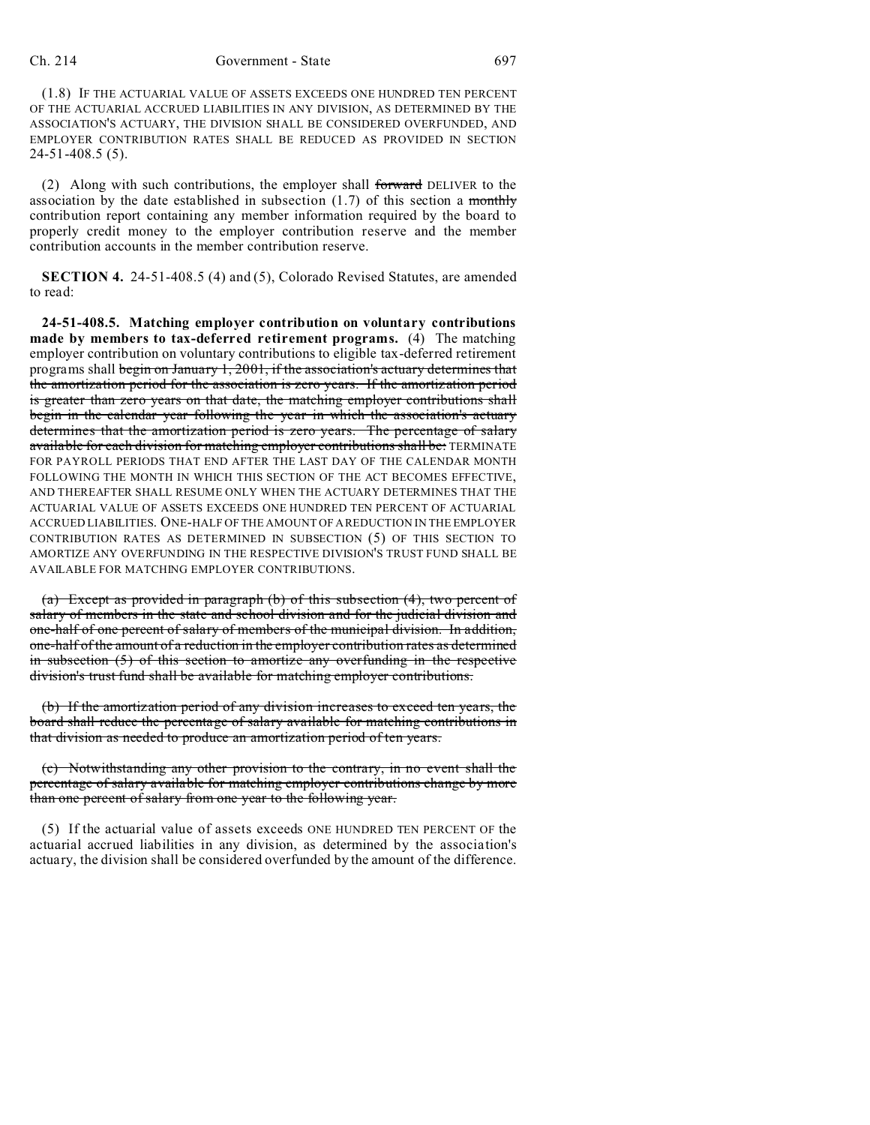#### Ch. 214 Government - State 697

(1.8) IF THE ACTUARIAL VALUE OF ASSETS EXCEEDS ONE HUNDRED TEN PERCENT OF THE ACTUARIAL ACCRUED LIABILITIES IN ANY DIVISION, AS DETERMINED BY THE ASSOCIATION'S ACTUARY, THE DIVISION SHALL BE CONSIDERED OVERFUNDED, AND EMPLOYER CONTRIBUTION RATES SHALL BE REDUCED AS PROVIDED IN SECTION 24-51-408.5 (5).

(2) Along with such contributions, the employer shall forward DELIVER to the association by the date established in subsection  $(1.7)$  of this section a monthly contribution report containing any member information required by the board to properly credit money to the employer contribution reserve and the member contribution accounts in the member contribution reserve.

**SECTION 4.** 24-51-408.5 (4) and (5), Colorado Revised Statutes, are amended to read:

**24-51-408.5. Matching employer contribution on voluntary contributions made by members to tax-deferred retirement programs.** (4) The matching employer contribution on voluntary contributions to eligible tax-deferred retirement programs shall begin on January 1, 2001, if the association's actuary determines that the amortization period for the association is zero years. If the amortization period is greater than zero years on that date, the matching employer contributions shall begin in the calendar year following the year in which the association's actuary determines that the amortization period is zero years. The percentage of salary available for each division for matching employer contributions shall be: TERMINATE FOR PAYROLL PERIODS THAT END AFTER THE LAST DAY OF THE CALENDAR MONTH FOLLOWING THE MONTH IN WHICH THIS SECTION OF THE ACT BECOMES EFFECTIVE, AND THEREAFTER SHALL RESUME ONLY WHEN THE ACTUARY DETERMINES THAT THE ACTUARIAL VALUE OF ASSETS EXCEEDS ONE HUNDRED TEN PERCENT OF ACTUARIAL ACCRUED LIABILITIES. ONE-HALF OF THE AMOUNT OF A REDUCTION IN THE EMPLOYER CONTRIBUTION RATES AS DETERMINED IN SUBSECTION (5) OF THIS SECTION TO AMORTIZE ANY OVERFUNDING IN THE RESPECTIVE DIVISION'S TRUST FUND SHALL BE AVAILABLE FOR MATCHING EMPLOYER CONTRIBUTIONS.

(a) Except as provided in paragraph (b) of this subsection (4), two percent of salary of members in the state and school division and for the judicial division and one-half of one percent of salary of members of the municipal division. In addition, one-half of the amount of a reduction in the employer contribution rates as determined in subsection (5) of this section to amortize any overfunding in the respective division's trust fund shall be available for matching employer contributions.

(b) If the amortization period of any division increases to exceed ten years, the board shall reduce the percentage of salary available for matching contributions in that division as needed to produce an amortization period of ten years.

(c) Notwithstanding any other provision to the contrary, in no event shall the percentage of salary available for matching employer contributions change by more than one percent of salary from one year to the following year.

(5) If the actuarial value of assets exceeds ONE HUNDRED TEN PERCENT OF the actuarial accrued liabilities in any division, as determined by the association's actuary, the division shall be considered overfunded by the amount of the difference.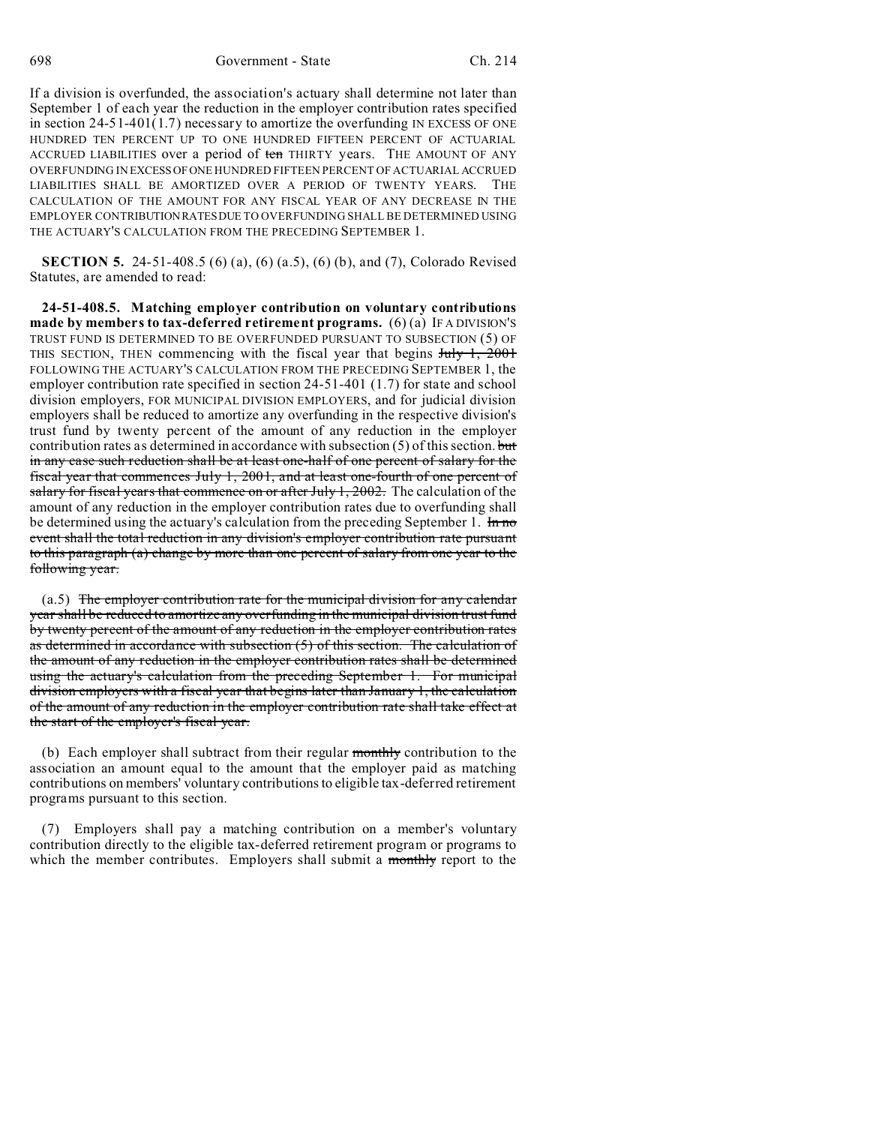698 Government - State Ch. 214

If a division is overfunded, the association's actuary shall determine not later than September 1 of each year the reduction in the employer contribution rates specified in section 24-51-401(1.7) necessary to amortize the overfunding IN EXCESS OF ONE HUNDRED TEN PERCENT UP TO ONE HUNDRED FIFTEEN PERCENT OF ACTUARIAL ACCRUED LIABILITIES over a period of ten THIRTY years. THE AMOUNT OF ANY OVERFUNDING IN EXCESSOFONE HUNDRED FIFTEEN PERCENT OF ACTUARIAL ACCRUED LIABILITIES SHALL BE AMORTIZED OVER A PERIOD OF TWENTY YEARS. THE CALCULATION OF THE AMOUNT FOR ANY FISCAL YEAR OF ANY DECREASE IN THE EMPLOYER CONTRIBUTIONRATESDUE TO OVERFUNDING SHALL BE DETERMINED USING THE ACTUARY'S CALCULATION FROM THE PRECEDING SEPTEMBER 1.

**SECTION 5.** 24-51-408.5 (6) (a), (6) (a.5), (6) (b), and (7), Colorado Revised Statutes, are amended to read:

**24-51-408.5. Matching employer contribution on voluntary contributions made by members to tax-deferred retirement programs.** (6) (a) IF A DIVISION'S TRUST FUND IS DETERMINED TO BE OVERFUNDED PURSUANT TO SUBSECTION (5) OF THIS SECTION, THEN commencing with the fiscal year that begins  $J_{\text{uly}}$  1, 2001 FOLLOWING THE ACTUARY'S CALCULATION FROM THE PRECEDING SEPTEMBER 1, the employer contribution rate specified in section 24-51-401 (1.7) for state and school division employers, FOR MUNICIPAL DIVISION EMPLOYERS, and for judicial division employers shall be reduced to amortize any overfunding in the respective division's trust fund by twenty percent of the amount of any reduction in the employer contribution rates as determined in accordance with subsection  $(5)$  of this section. but in any case such reduction shall be at least one-half of one percent of salary for the fiscal year that commences July 1, 2001, and at least one-fourth of one percent of salary for fiscal years that commence on or after July  $1, 2002$ . The calculation of the amount of any reduction in the employer contribution rates due to overfunding shall be determined using the actuary's calculation from the preceding September 1. In no event shall the total reduction in any division's employer contribution rate pursuant to this paragraph (a) change by more than one percent of salary from one year to the following year.

(a.5) The employer contribution rate for the municipal division for any calendar year shall be reduced to amortize any overfunding in the municipal division trust fund by twenty percent of the amount of any reduction in the employer contribution rates as determined in accordance with subsection (5) of this section. The calculation of the amount of any reduction in the employer contribution rates shall be determined using the actuary's calculation from the preceding September 1. For municipal division employers with a fiscal year that begins later than January 1, the calculation of the amount of any reduction in the employer contribution rate shall take effect at the start of the employer's fiscal year.

(b) Each employer shall subtract from their regular monthly contribution to the association an amount equal to the amount that the employer paid as matching contributions on members' voluntary contributions to eligible tax-deferred retirement programs pursuant to this section.

(7) Employers shall pay a matching contribution on a member's voluntary contribution directly to the eligible tax-deferred retirement program or programs to which the member contributes. Employers shall submit a monthly report to the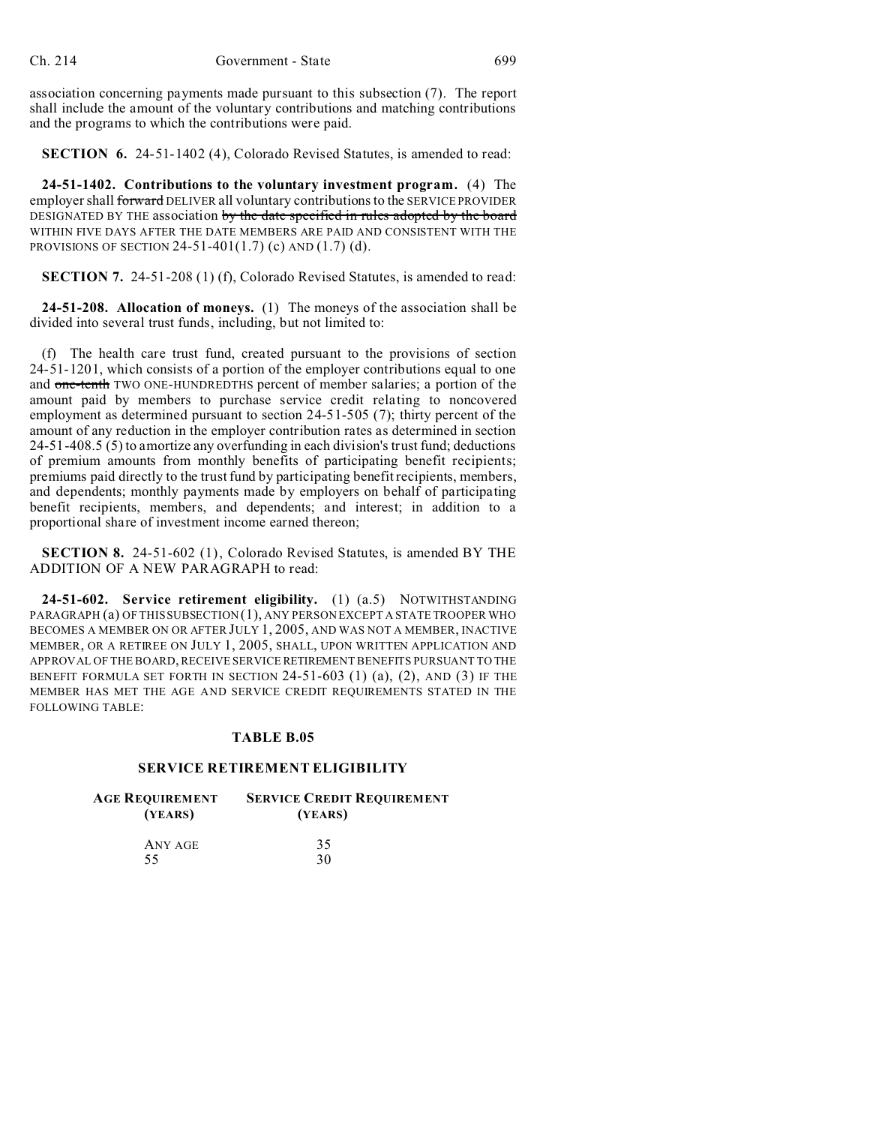association concerning payments made pursuant to this subsection (7). The report shall include the amount of the voluntary contributions and matching contributions and the programs to which the contributions were paid.

**SECTION 6.** 24-51-1402 (4), Colorado Revised Statutes, is amended to read:

**24-51-1402. Contributions to the voluntary investment program.** (4) The employer shall forward DELIVER all voluntary contributions to the SERVICE PROVIDER DESIGNATED BY THE association by the date specified in rules adopted by the board WITHIN FIVE DAYS AFTER THE DATE MEMBERS ARE PAID AND CONSISTENT WITH THE PROVISIONS OF SECTION 24-51-401 $(1.7)$  (c) AND  $(1.7)$  (d).

**SECTION 7.** 24-51-208 (1) (f), Colorado Revised Statutes, is amended to read:

**24-51-208. Allocation of moneys.** (1) The moneys of the association shall be divided into several trust funds, including, but not limited to:

(f) The health care trust fund, created pursuant to the provisions of section 24-51-1201, which consists of a portion of the employer contributions equal to one and one-tenth TWO ONE-HUNDREDTHS percent of member salaries; a portion of the amount paid by members to purchase service credit relating to noncovered employment as determined pursuant to section 24-51-505 (7); thirty percent of the amount of any reduction in the employer contribution rates as determined in section 24-51-408.5 (5) to amortize any overfunding in each division's trust fund; deductions of premium amounts from monthly benefits of participating benefit recipients; premiums paid directly to the trust fund by participating benefit recipients, members, and dependents; monthly payments made by employers on behalf of participating benefit recipients, members, and dependents; and interest; in addition to a proportional share of investment income earned thereon;

**SECTION 8.** 24-51-602 (1), Colorado Revised Statutes, is amended BY THE ADDITION OF A NEW PARAGRAPH to read:

**24-51-602. Service retirement eligibility.** (1) (a.5) NOTWITHSTANDING PARAGRAPH (a) OF THIS SUBSECTION (1), ANY PERSON EXCEPT A STATE TROOPER WHO BECOMES A MEMBER ON OR AFTER JULY 1, 2005, AND WAS NOT A MEMBER, INACTIVE MEMBER, OR A RETIREE ON JULY 1, 2005, SHALL, UPON WRITTEN APPLICATION AND APPROVAL OF THE BOARD, RECEIVE SERVICE RETIREMENT BENEFITS PURSUANT TO THE BENEFIT FORMULA SET FORTH IN SECTION 24-51-603 (1) (a), (2), AND (3) IF THE MEMBER HAS MET THE AGE AND SERVICE CREDIT REQUIREMENTS STATED IN THE FOLLOWING TABLE:

### **TABLE B.05**

## **SERVICE RETIREMENT ELIGIBILITY**

| Age Requirement | <b>SERVICE CREDIT REQUIREMENT</b> |  |
|-----------------|-----------------------------------|--|
| (YEARS)         | (YEARS)                           |  |
| $\blacksquare$  | $\sim$ $\sim$                     |  |

| ANY AGE | 35 |
|---------|----|
| 55      | 30 |